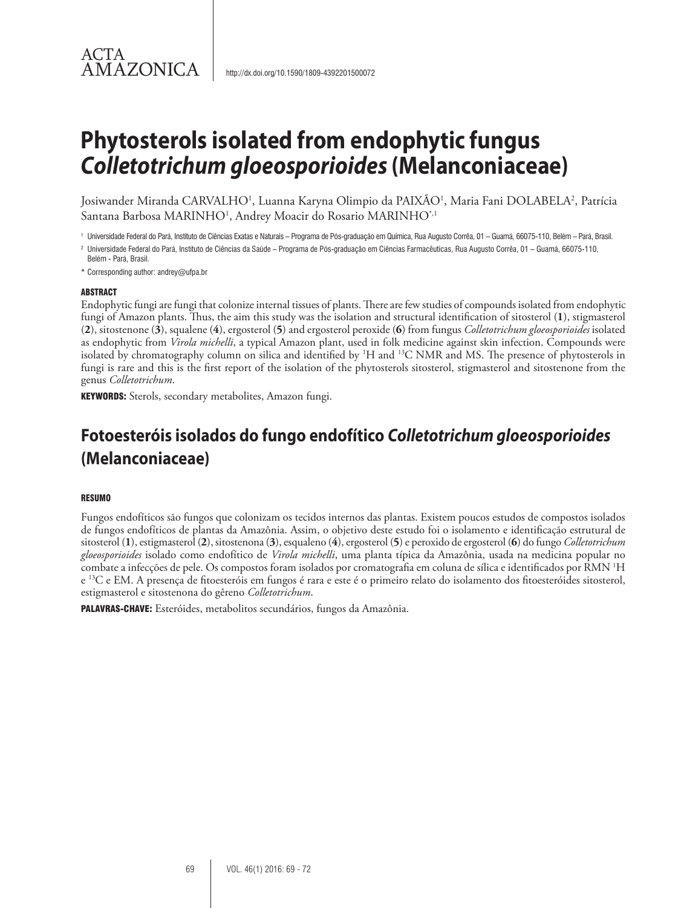# **Phytosterols isolated from endophytic fungus**  *Colletotrichum gloeosporioides* **(Melanconiaceae)**

Josiwander Miranda CARVALHO<sup>1</sup>, Luanna Karyna Olimpio da PAIXÃO<sup>1</sup>, Maria Fani DOLABELA<sup>2</sup>, Patrícia Santana Barbosa MARINHO1 , Andrey Moacir do Rosario MARINHO\*,1

<sup>1</sup> Universidade Federal do Pará, Instituto de Ciências Exatas e Naturais – Programa de Pós-graduação em Química, Rua Augusto Corrêa, 01 – Guamá, 66075-110, Belém – Pará, Brasil.

<sup>2</sup> Universidade Federal do Pará, Instituto de Ciências da Saúde – Programa de Pós-graduação em Ciências Farmacêuticas, Rua Augusto Corrêa, 01 – Guamá, 66075-110,

Belém - Pará, Brasil.

\* Corresponding author: andrey@ufpa.br

#### ABSTRACT

ACTA

AMAZONICA

Endophytic fungi are fungi that colonize internal tissues of plants. There are few studies of compounds isolated from endophytic fungi of Amazon plants. Thus, the aim this study was the isolation and structural identification of sitosterol (**1**), stigmasterol (**2**), sitostenone (**3**), squalene (**4**), ergosterol (**5**) and ergosterol peroxide (**6**) from fungus *Colletotrichum gloeosporioides* isolated as endophytic from *Virola michelli*, a typical Amazon plant, used in folk medicine against skin infection. Compounds were isolated by chromatography column on silica and identified by <sup>1</sup>H and <sup>13</sup>C NMR and MS. The presence of phytosterols in fungi is rare and this is the first report of the isolation of the phytosterols sitosterol, stigmasterol and sitostenone from the genus *Colletotrichum*.

KEYWORDS: Sterols, secondary metabolites, Amazon fungi.

# **Fotoesteróis isolados do fungo endofítico** *Colletotrichum gloeosporioides*  **(Melanconiaceae)**

#### RESUMO

Fungos endofíticos são fungos que colonizam os tecidos internos das plantas. Existem poucos estudos de compostos isolados de fungos endofíticos de plantas da Amazônia. Assim, o objetivo deste estudo foi o isolamento e identificação estrutural de sitosterol (**1**), estigmasterol (**2**), sitostenona (**3**), esqualeno (**4**), ergosterol (**5**) e peroxido de ergosterol (**6**) do fungo *Colletotrichum gloeosporioides* isolado como endofítico de *Virola michelli*, uma planta típica da Amazônia, usada na medicina popular no combate a infecções de pele. Os compostos foram isolados por cromatografia em coluna de sílica e identificados por RMN 1 H e 13C e EM. A presença de fitoesteróis em fungos é rara e este é o primeiro relato do isolamento dos fitoesteróides sitosterol, estigmasterol e sitostenona do gêreno *Colletotrichum*.

PALAVRAS-CHAVE: Esteróides, metabolitos secundários, fungos da Amazônia.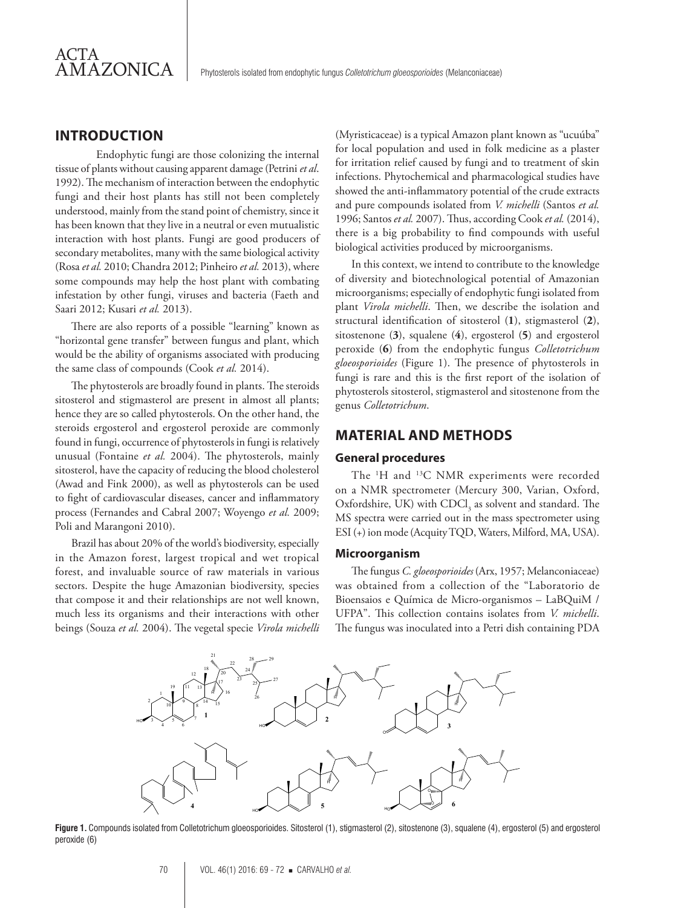# **INTRODUCTION**

Endophytic fungi are those colonizing the internal tissue of plants without causing apparent damage (Petrini *et al*. 1992). The mechanism of interaction between the endophytic fungi and their host plants has still not been completely understood, mainly from the stand point of chemistry, since it has been known that they live in a neutral or even mutualistic interaction with host plants. Fungi are good producers of secondary metabolites, many with the same biological activity (Rosa *et al.* 2010; Chandra 2012; Pinheiro *et al.* 2013), where some compounds may help the host plant with combating infestation by other fungi, viruses and bacteria (Faeth and Saari 2012; Kusari *et al.* 2013).

There are also reports of a possible "learning" known as "horizontal gene transfer" between fungus and plant, which would be the ability of organisms associated with producing the same class of compounds (Cook *et al.* 2014).

The phytosterols are broadly found in plants. The steroids sitosterol and stigmasterol are present in almost all plants; hence they are so called phytosterols. On the other hand, the steroids ergosterol and ergosterol peroxide are commonly found in fungi, occurrence of phytosterols in fungi is relatively unusual (Fontaine *et al.* 2004). The phytosterols, mainly sitosterol, have the capacity of reducing the blood cholesterol (Awad and Fink 2000), as well as phytosterols can be used to fight of cardiovascular diseases, cancer and inflammatory process (Fernandes and Cabral 2007; Woyengo *et al.* 2009; Poli and Marangoni 2010).

Brazil has about 20% of the world's biodiversity, especially in the Amazon forest, largest tropical and wet tropical forest, and invaluable source of raw materials in various sectors. Despite the huge Amazonian biodiversity, species that compose it and their relationships are not well known, much less its organisms and their interactions with other beings (Souza *et al.* 2004). The vegetal specie *Virola michelli* 

(Myristicaceae) is a typical Amazon plant known as "ucuúba" for local population and used in folk medicine as a plaster for irritation relief caused by fungi and to treatment of skin infections. Phytochemical and pharmacological studies have showed the anti-inflammatory potential of the crude extracts and pure compounds isolated from *V. michelli* (Santos *et al.* 1996; Santos *et al.* 2007). Thus, according Cook *et al.* (2014), there is a big probability to find compounds with useful biological activities produced by microorganisms.

In this context, we intend to contribute to the knowledge of diversity and biotechnological potential of Amazonian microorganisms; especially of endophytic fungi isolated from plant *Virola michelli*. Then, we describe the isolation and structural identification of sitosterol (**1**), stigmasterol (**2**), sitostenone (**3**), squalene (**4**), ergosterol (**5**) and ergosterol peroxide (**6**) from the endophytic fungus *Colletotrichum gloeosporioides* (Figure 1). The presence of phytosterols in fungi is rare and this is the first report of the isolation of phytosterols sitosterol, stigmasterol and sitostenone from the genus *Colletotrichum*.

# **MATERIAL AND METHODS**

#### **General procedures**

The <sup>1</sup>H and <sup>13</sup>C NMR experiments were recorded on a NMR spectrometer (Mercury 300, Varian, Oxford, Oxfordshire, UK) with  $\mathrm{CDCl}_3$  as solvent and standard. The MS spectra were carried out in the mass spectrometer using ESI (+) ion mode (Acquity TQD, Waters, Milford, MA, USA).

#### **Microorganism**

The fungus *C. gloeosporioides* (Arx, 1957; Melanconiaceae) was obtained from a collection of the "Laboratorio de Bioensaios e Química de Micro-organismos – LaBQuiM / UFPA". This collection contains isolates from *V. michelli*. The fungus was inoculated into a Petri dish containing PDA



Figure 1. Compounds isolated from Colletotrichum gloeosporioides. Sitosterol (1), stigmasterol (2), sitostenone (3), squalene (4), ergosterol (5) and ergosterol peroxide (6)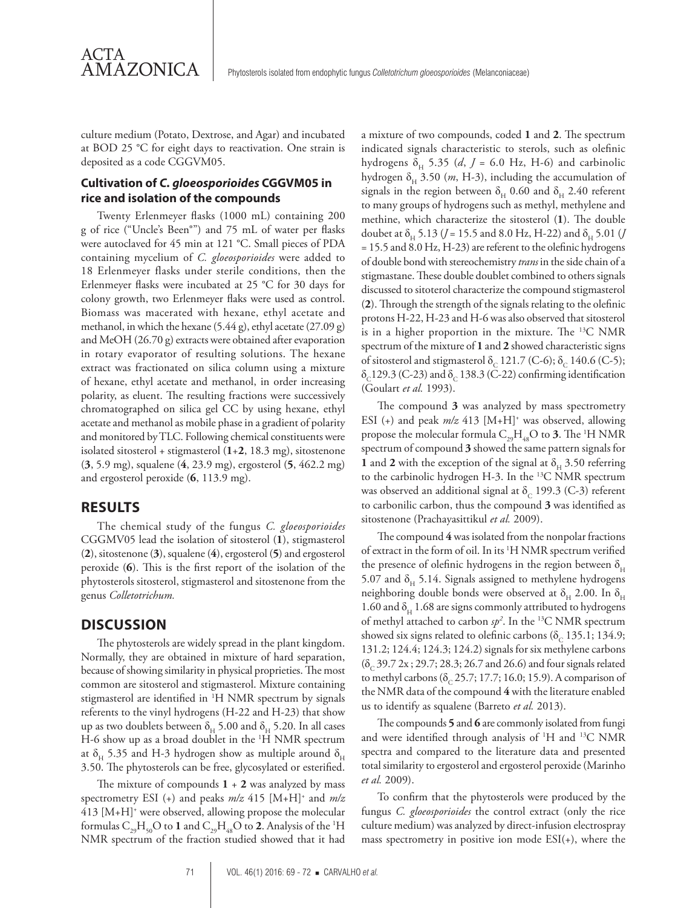culture medium (Potato, Dextrose, and Agar) and incubated at BOD 25 °C for eight days to reactivation. One strain is deposited as a code CGGVM05.

# **Cultivation of** *C. gloeosporioides* **CGGVM05 in rice and isolation of the compounds**

Twenty Erlenmeyer flasks (1000 mL) containing 200 g of rice ("Uncle's Been®") and 75 mL of water per flasks were autoclaved for 45 min at 121 °C. Small pieces of PDA containing mycelium of *C. gloeosporioides* were added to 18 Erlenmeyer flasks under sterile conditions, then the Erlenmeyer flasks were incubated at 25 °C for 30 days for colony growth, two Erlenmeyer flaks were used as control. Biomass was macerated with hexane, ethyl acetate and methanol, in which the hexane (5.44 g), ethyl acetate (27.09 g) and MeOH (26.70 g) extracts were obtained after evaporation in rotary evaporator of resulting solutions. The hexane extract was fractionated on silica column using a mixture of hexane, ethyl acetate and methanol, in order increasing polarity, as eluent. The resulting fractions were successively chromatographed on silica gel CC by using hexane, ethyl acetate and methanol as mobile phase in a gradient of polarity and monitored by TLC. Following chemical constituents were isolated sitosterol + stigmasterol (**1**+**2**, 18.3 mg), sitostenone (**3**, 5.9 mg), squalene (**4**, 23.9 mg), ergosterol (**5**, 462.2 mg) and ergosterol peroxide (**6**, 113.9 mg).

### **RESULTS**

ACTA

**AMAZONICA** 

The chemical study of the fungus *C. gloeosporioides*  CGGMV05 lead the isolation of sitosterol (**1**), stigmasterol (**2**), sitostenone (**3**), squalene (**4**), ergosterol (**5**) and ergosterol peroxide (**6**). This is the first report of the isolation of the phytosterols sitosterol, stigmasterol and sitostenone from the genus *Colletotrichum.*

# **DISCUSSION**

The phytosterols are widely spread in the plant kingdom. Normally, they are obtained in mixture of hard separation, because of showing similarity in physical proprieties. The most common are sitosterol and stigmasterol. Mixture containing stigmasterol are identified in 1 H NMR spectrum by signals referents to the vinyl hydrogens (H-22 and H-23) that show up as two doublets between  $\delta_H$  5.00 and  $\delta_H$  5.20. In all cases H-6 show up as a broad doublet in the <sup>1</sup>H NMR spectrum at  $\delta_{\rm H}$  5.35 and H-3 hydrogen show as multiple around  $\delta_{\rm H}$ 3.50. The phytosterols can be free, glycosylated or esterified.

The mixture of compounds  $1 + 2$  was analyzed by mass spectrometry ESI (+) and peaks *m/z* 415 [M+H]+ and *m/z* 413 [M+H]+ were observed, allowing propose the molecular formulas  $C_{29}H_{50}O$  to  $1$  and  $C_{29}H_{48}O$  to  $2$ . Analysis of the <sup>1</sup>H NMR spectrum of the fraction studied showed that it had

a mixture of two compounds, coded **1** and **2**. The spectrum indicated signals characteristic to sterols, such as olefinic hydrogens  $\delta_{H}$  5.35 (*d*, *J* = 6.0 Hz, H-6) and carbinolic hydrogen  $\delta_H$  3.50 (*m*, H-3), including the accumulation of signals in the region between  $\delta_H$  0.60 and  $\delta_H$  2.40 referent to many groups of hydrogens such as methyl, methylene and methine, which characterize the sitosterol (**1**). The double doubet at  $\delta_{H}$  5.13 (*J* = 15.5 and 8.0 Hz, H-22) and  $\delta_{H}$  5.01 (*J* = 15.5 and 8.0 Hz, H-23) are referent to the olefinic hydrogens of double bond with stereochemistry *trans* in the side chain of a stigmastane. These double doublet combined to others signals discussed to sitoterol characterize the compound stigmasterol (**2**). Through the strength of the signals relating to the olefinic protons H-22, H-23 and H-6 was also observed that sitosterol is in a higher proportion in the mixture. The 13C NMR spectrum of the mixture of **1** and **2** showed characteristic signs of sitosterol and stigmasterol δ<sub>c</sub> 121.7 (C-6); δ<sub>c</sub> 140.6 (C-5);  $\delta_c$ 129.3 (C-23) and  $\delta_c$  138.3 (C-22) confirming identification (Goulart *et al.* 1993).

The compound **3** was analyzed by mass spectrometry ESI (+) and peak  $m/z$  413 [M+H]<sup>+</sup> was observed, allowing propose the molecular formula  $C_{29}H_{48}O$  to **3**. The <sup>1</sup>H NMR spectrum of compound **3** showed the same pattern signals for **1** and **2** with the exception of the signal at  $\delta_H$  3.50 referring to the carbinolic hydrogen H-3. In the 13C NMR spectrum was observed an additional signal at  $\delta_c$  199.3 (C-3) referent to carbonilic carbon, thus the compound **3** was identified as sitostenone (Prachayasittikul *et al.* 2009).

The compound **4** was isolated from the nonpolar fractions of extract in the form of oil. In its 1 H NMR spectrum verified the presence of olefinic hydrogens in the region between  $\delta_H$ 5.07 and  $\delta_{\rm H}$  5.14. Signals assigned to methylene hydrogens neighboring double bonds were observed at  $\delta_{\rm H}$  2.00. In  $\delta_{\rm H}$ 1.60 and  $\delta_{\rm H}$  1.68 are signs commonly attributed to hydrogens of methyl attached to carbon *sp2* . In the 13C NMR spectrum showed six signs related to olefinic carbons ( $\delta_c$  135.1; 134.9; 131.2; 124.4; 124.3; 124.2) signals for six methylene carbons  $(\delta_c 39.7 2x; 29.7; 28.3; 26.7 \text{ and } 26.6)$  and four signals related to methyl carbons ( $\delta_c$  25.7; 17.7; 16.0; 15.9). A comparison of the NMR data of the compound **4** with the literature enabled us to identify as squalene (Barreto *et al.* 2013).

The compounds **5** and **6** are commonly isolated from fungi and were identified through analysis of <sup>1</sup>H and <sup>13</sup>C NMR spectra and compared to the literature data and presented total similarity to ergosterol and ergosterol peroxide (Marinho *et al.* 2009).

To confirm that the phytosterols were produced by the fungus *C. gloeosporioides* the control extract (only the rice culture medium) was analyzed by direct-infusion electrospray mass spectrometry in positive ion mode ESI(+), where the